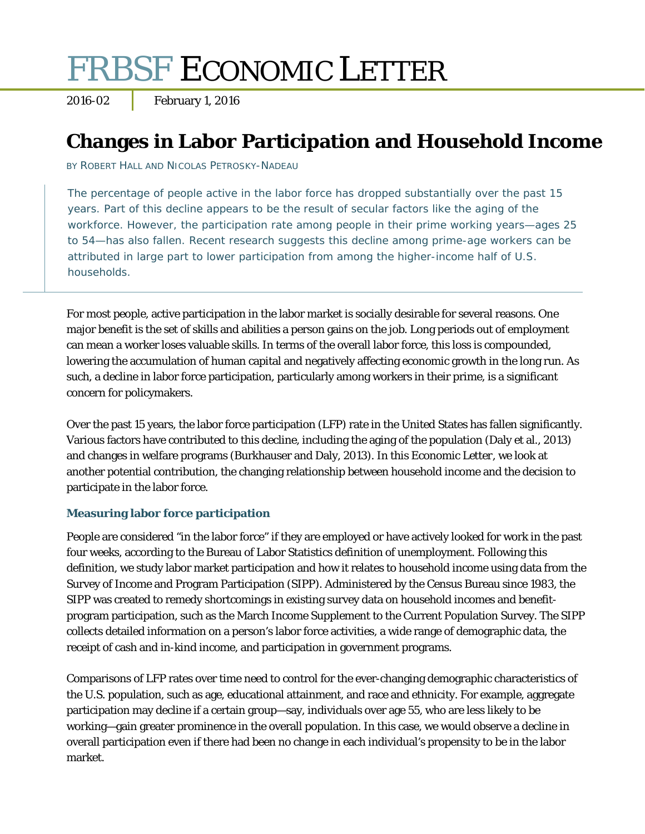# FRBSF ECONOMIC LETTER

2016-02 **February 1, 2016** 

# **Changes in Labor Participation and Household Income**

BY ROBERT HALL AND NICOLAS PETROSKY-NADEAU

The percentage of people active in the labor force has dropped substantially over the past 15 years. Part of this decline appears to be the result of secular factors like the aging of the workforce. However, the participation rate among people in their prime working years—ages 25 to 54—has also fallen. Recent research suggests this decline among prime-age workers can be attributed in large part to lower participation from among the higher-income half of U.S. households.

For most people, active participation in the labor market is socially desirable for several reasons. One major benefit is the set of skills and abilities a person gains on the job. Long periods out of employment can mean a worker loses valuable skills. In terms of the overall labor force, this loss is compounded, lowering the accumulation of human capital and negatively affecting economic growth in the long run. As such, a decline in labor force participation, particularly among workers in their prime, is a significant concern for policymakers.

Over the past 15 years, the labor force participation (LFP) rate in the United States has fallen significantly. Various factors have contributed to this decline, including the aging of the population (Daly et al., 2013) and changes in welfare programs (Burkhauser and Daly, 2013). In this *Economic Letter*, we look at another potential contribution, the changing relationship between household income and the decision to participate in the labor force.

# **Measuring labor force participation**

People are considered "in the labor force" if they are employed or have actively looked for work in the past four weeks, according to the Bureau of Labor Statistics definition of unemployment. Following this definition, we study labor market participation and how it relates to household income using data from the Survey of Income and Program Participation (SIPP). Administered by the Census Bureau since 1983, the SIPP was created to remedy shortcomings in existing survey data on household incomes and benefitprogram participation, such as the March Income Supplement to the Current Population Survey. The SIPP collects detailed information on a person's labor force activities, a wide range of demographic data, the receipt of cash and in-kind income, and participation in government programs.

Comparisons of LFP rates over time need to control for the ever-changing demographic characteristics of the U.S. population, such as age, educational attainment, and race and ethnicity. For example, aggregate participation may decline if a certain group—say, individuals over age 55, who are less likely to be working—gain greater prominence in the overall population. In this case, we would observe a decline in overall participation even if there had been no change in each individual's propensity to be in the labor market.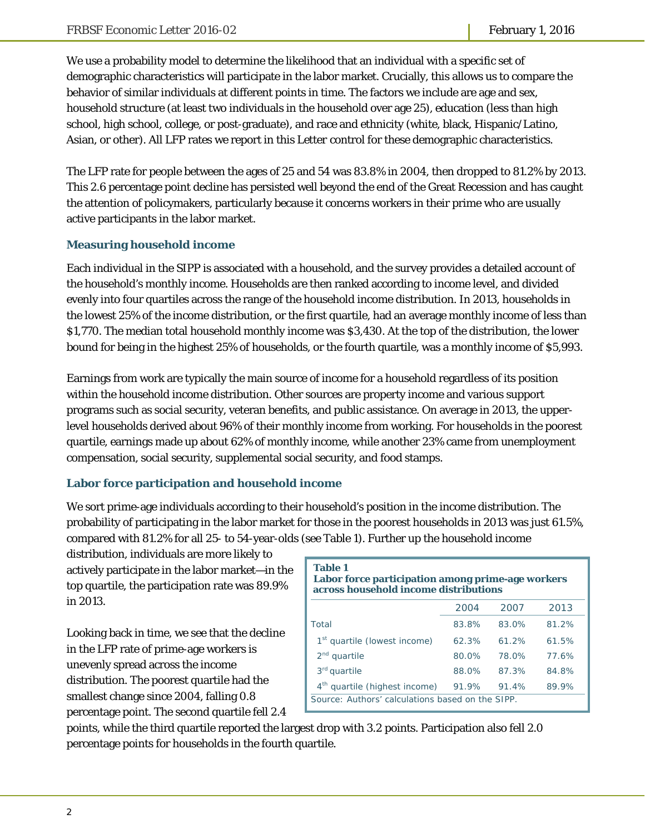We use a probability model to determine the likelihood that an individual with a specific set of demographic characteristics will participate in the labor market. Crucially, this allows us to compare the behavior of similar individuals at different points in time. The factors we include are age and sex, household structure (at least two individuals in the household over age 25), education (less than high school, high school, college, or post-graduate), and race and ethnicity (white, black, Hispanic/Latino, Asian, or other). All LFP rates we report in this *Letter* control for these demographic characteristics.

The LFP rate for people between the ages of 25 and 54 was 83.8% in 2004, then dropped to 81.2% by 2013. This 2.6 percentage point decline has persisted well beyond the end of the Great Recession and has caught the attention of policymakers, particularly because it concerns workers in their prime who are usually active participants in the labor market.

# **Measuring household income**

Each individual in the SIPP is associated with a household, and the survey provides a detailed account of the household's monthly income. Households are then ranked according to income level, and divided evenly into four quartiles across the range of the household income distribution. In 2013, households in the lowest 25% of the income distribution, or the first quartile, had an average monthly income of less than \$1,770. The median total household monthly income was \$3,430. At the top of the distribution, the lower bound for being in the highest 25% of households, or the fourth quartile, was a monthly income of \$5,993.

Earnings from work are typically the main source of income for a household regardless of its position within the household income distribution. Other sources are property income and various support programs such as social security, veteran benefits, and public assistance. On average in 2013, the upperlevel households derived about 96% of their monthly income from working. For households in the poorest quartile, earnings made up about 62% of monthly income, while another 23% came from unemployment compensation, social security, supplemental social security, and food stamps.

# **Labor force participation and household income**

We sort prime-age individuals according to their household's position in the income distribution. The probability of participating in the labor market for those in the poorest households in 2013 was just 61.5%, compared with 81.2% for all 25- to 54-year-olds (see Table 1). Further up the household income

distribution, individuals are more likely to actively participate in the labor market—in the top quartile, the participation rate was 89.9% in 2013.

Looking back in time, we see that the decline in the LFP rate of prime-age workers is unevenly spread across the income distribution. The poorest quartile had the smallest change since 2004, falling 0.8 percentage point. The second quartile fell 2.4

| <b>Table 1</b><br>Labor force participation among prime-age workers<br>across household income distributions |       |       |       |  |
|--------------------------------------------------------------------------------------------------------------|-------|-------|-------|--|
|                                                                                                              | 2004  | 2007  | 2013  |  |
| Total                                                                                                        | 83.8% | 83.0% | 81.2% |  |
| 1 <sup>st</sup> quartile (lowest income)                                                                     | 62.3% | 61.2% | 61.5% |  |
| $2nd$ quartile                                                                                               | 80.0% | 78.0% | 77.6% |  |
| 3 <sup>rd</sup> quartile                                                                                     | 88.0% | 87.3% | 84.8% |  |
| 4 <sup>th</sup> quartile (highest income)                                                                    | 91.9% | 91.4% | 89.9% |  |
| Source: Authors' calculations based on the SIPP.                                                             |       |       |       |  |

points, while the third quartile reported the largest drop with 3.2 points. Participation also fell 2.0 percentage points for households in the fourth quartile.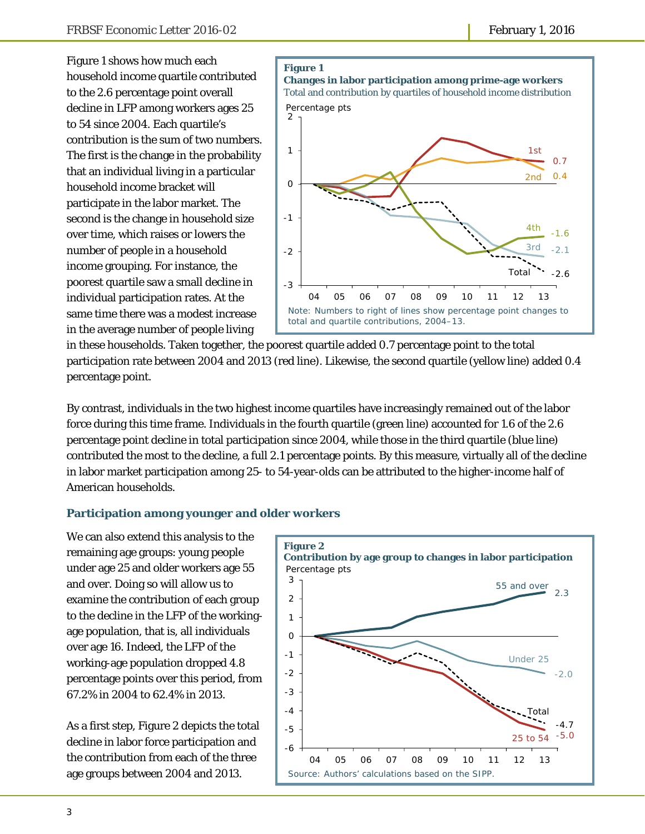Figure 1 shows how much each household income quartile contributed to the 2.6 percentage point overall decline in LFP among workers ages 25 to 54 since 2004. Each quartile's contribution is the sum of two numbers. The first is the change in the probability that an individual living in a particular household income bracket will participate in the labor market. The second is the change in household size over time, which raises or lowers the number of people in a household income grouping. For instance, the poorest quartile saw a small decline in individual participation rates. At the same time there was a modest increase in the average number of people living



in these households. Taken together, the poorest quartile added 0.7 percentage point to the total participation rate between 2004 and 2013 (red line). Likewise, the second quartile (yellow line) added 0.4 percentage point.

By contrast, individuals in the two highest income quartiles have increasingly remained out of the labor force during this time frame. Individuals in the fourth quartile (green line) accounted for 1.6 of the 2.6 percentage point decline in total participation since 2004, while those in the third quartile (blue line) contributed the most to the decline, a full 2.1 percentage points. By this measure, virtually all of the decline in labor market participation among 25- to 54-year-olds can be attributed to the higher-income half of American households.

#### **Participation among younger and older workers**

We can also extend this analysis to the remaining age groups: young people under age 25 and older workers age 55 and over. Doing so will allow us to examine the contribution of each group to the decline in the LFP of the workingage population, that is, all individuals over age 16. Indeed, the LFP of the working-age population dropped 4.8 percentage points over this period, from 67.2% in 2004 to 62.4% in 2013.

As a first step, Figure 2 depicts the total decline in labor force participation and the contribution from each of the three age groups between 2004 and 2013.

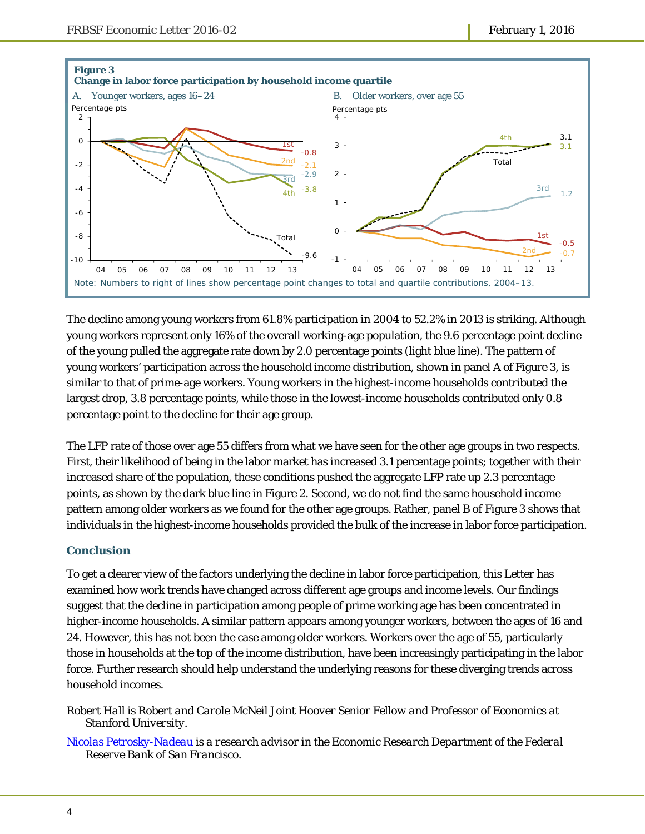

The decline among young workers from 61.8% participation in 2004 to 52.2% in 2013 is striking. Although young workers represent only 16% of the overall working-age population, the 9.6 percentage point decline of the young pulled the aggregate rate down by 2.0 percentage points (light blue line). The pattern of young workers' participation across the household income distribution, shown in panel A of Figure 3, is similar to that of prime-age workers. Young workers in the highest-income households contributed the largest drop, 3.8 percentage points, while those in the lowest-income households contributed only 0.8 percentage point to the decline for their age group.

The LFP rate of those over age 55 differs from what we have seen for the other age groups in two respects. First, their likelihood of being in the labor market has increased 3.1 percentage points; together with their increased share of the population, these conditions pushed the aggregate LFP rate up 2.3 percentage points, as shown by the dark blue line in Figure 2. Second, we do not find the same household income pattern among older workers as we found for the other age groups. Rather, panel B of Figure 3 shows that individuals in the highest-income households provided the bulk of the increase in labor force participation.

# **Conclusion**

To get a clearer view of the factors underlying the decline in labor force participation, this *Letter* has examined how work trends have changed across different age groups and income levels. Our findings suggest that the decline in participation among people of prime working age has been concentrated in higher-income households. A similar pattern appears among younger workers, between the ages of 16 and 24. However, this has not been the case among older workers. Workers over the age of 55, particularly those in households at the top of the income distribution, have been increasingly participating in the labor force. Further research should help understand the underlying reasons for these diverging trends across household incomes.

*Robert Hall is Robert and Carole McNeil Joint Hoover Senior Fellow and Professor of Economics at Stanford University.* 

*Nicolas Petrosky-Nadeau is a research advisor in the Economic Research Department of the Federal Reserve Bank of San Francisco.*